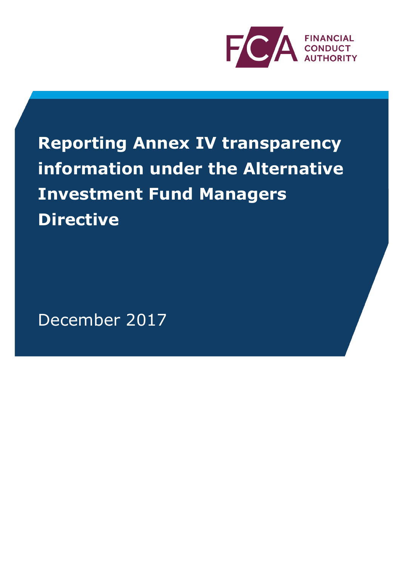

**Reporting Annex IV transparency information under the Alternative Investment Fund Managers Directive**

December 2017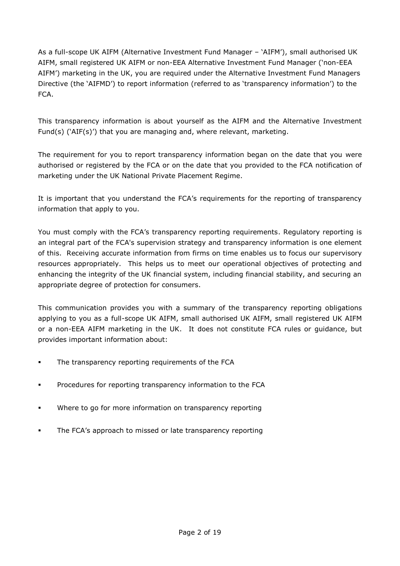As a full-scope UK AIFM (Alternative Investment Fund Manager – 'AIFM'), small authorised UK AIFM, small registered UK AIFM or non-EEA Alternative Investment Fund Manager ('non-EEA AIFM') marketing in the UK, you are required under the Alternative Investment Fund Managers Directive (the 'AIFMD') to report information (referred to as 'transparency information') to the FCA.

This transparency information is about yourself as the AIFM and the Alternative Investment Fund(s) ('AIF(s)') that you are managing and, where relevant, marketing.

The requirement for you to report transparency information began on the date that you were authorised or registered by the FCA or on the date that you provided to the FCA notification of marketing under the UK National Private Placement Regime.

It is important that you understand the FCA's requirements for the reporting of transparency information that apply to you.

You must comply with the FCA's transparency reporting requirements. Regulatory reporting is an integral part of the FCA's supervision strategy and transparency information is one element of this. Receiving accurate information from firms on time enables us to focus our supervisory resources appropriately. This helps us to meet our operational objectives of protecting and enhancing the integrity of the UK financial system, including financial stability, and securing an appropriate degree of protection for consumers.

This communication provides you with a summary of the transparency reporting obligations applying to you as a full-scope UK AIFM, small authorised UK AIFM, small registered UK AIFM or a non-EEA AIFM marketing in the UK. It does not constitute FCA rules or guidance, but provides important information about:

- The transparency reporting requirements of the FCA
- Procedures for reporting transparency information to the FCA
- Where to go for more information on transparency reporting
- The FCA's approach to missed or late transparency reporting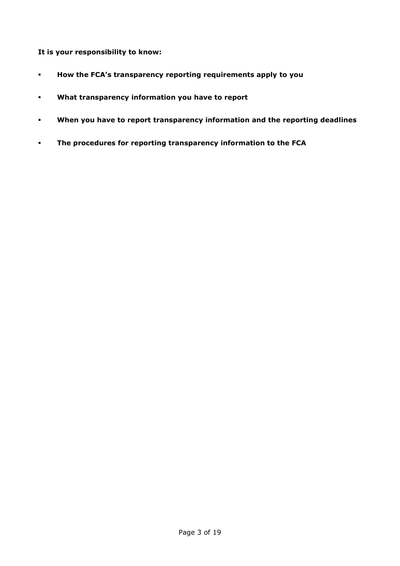**It is your responsibility to know:**

- **How the FCA's transparency reporting requirements apply to you**
- **What transparency information you have to report**
- **When you have to report transparency information and the reporting deadlines**
- **The procedures for reporting transparency information to the FCA**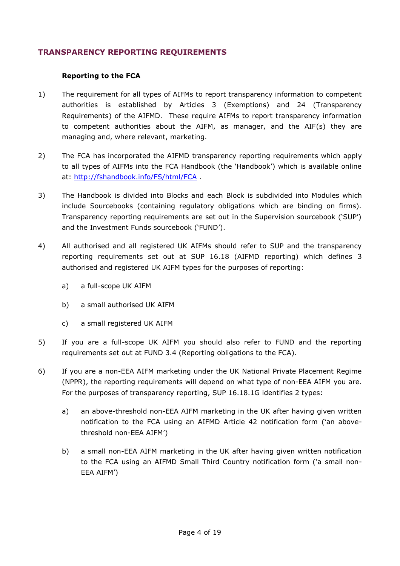# **TRANSPARENCY REPORTING REQUIREMENTS**

### **Reporting to the FCA**

- 1) The requirement for all types of AIFMs to report transparency information to competent authorities is established by Articles 3 (Exemptions) and 24 (Transparency Requirements) of the AIFMD*.* These require AIFMs to report transparency information to competent authorities about the AIFM, as manager, and the AIF(s) they are managing and, where relevant, marketing.
- 2) The FCA has incorporated the AIFMD transparency reporting requirements which apply to all types of AIFMs into the FCA Handbook (the 'Handbook') which is available online at: <http://fshandbook.info/FS/html/FCA> .
- 3) The Handbook is divided into Blocks and each Block is subdivided into Modules which include Sourcebooks (containing regulatory obligations which are binding on firms). Transparency reporting requirements are set out in the Supervision sourcebook ('SUP') and the Investment Funds sourcebook ('FUND').
- 4) All authorised and all registered UK AIFMs should refer to SUP and the transparency reporting requirements set out at SUP 16.18 (AIFMD reporting) which defines 3 authorised and registered UK AIFM types for the purposes of reporting:
	- a) a full-scope UK AIFM
	- b) a small authorised UK AIFM
	- c) a small registered UK AIFM
- 5) If you are a full-scope UK AIFM you should also refer to FUND and the reporting requirements set out at FUND 3.4 (Reporting obligations to the FCA).
- 6) If you are a non-EEA AIFM marketing under the UK National Private Placement Regime (NPPR), the reporting requirements will depend on what type of non-EEA AIFM you are. For the purposes of transparency reporting, SUP 16.18.1G identifies 2 types:
	- a) an above-threshold non-EEA AIFM marketing in the UK after having given written notification to the FCA using an AIFMD Article 42 notification form ('an abovethreshold non-EEA AIFM')
	- b) a small non-EEA AIFM marketing in the UK after having given written notification to the FCA using an AIFMD Small Third Country notification form ('a small non-EEA AIFM')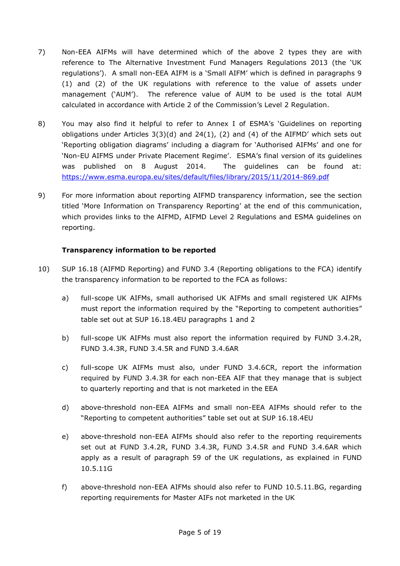- 7) Non-EEA AIFMs will have determined which of the above 2 types they are with reference to The Alternative Investment Fund Managers Regulations 2013 (the 'UK regulations'). A small non-EEA AIFM is a 'Small AIFM' which is defined in paragraphs 9 (1) and (2) of the UK regulations with reference to the value of assets under management ('AUM'). The reference value of AUM to be used is the total AUM calculated in accordance with Article 2 of the Commission's Level 2 Regulation.
- 8) You may also find it helpful to refer to Annex I of ESMA's 'Guidelines on reporting obligations under Articles  $3(3)(d)$  and  $24(1)$ ,  $(2)$  and  $(4)$  of the AIFMD' which sets out 'Reporting obligation diagrams' including a diagram for 'Authorised AIFMs' and one for 'Non-EU AIFMS under Private Placement Regime'. ESMA's final version of its guidelines was published on 8 August 2014. The guidelines can be found at: <https://www.esma.europa.eu/sites/default/files/library/2015/11/2014-869.pdf>
- 9) For more information about reporting AIFMD transparency information, see the section titled 'More Information on Transparency Reporting' at the end of this communication, which provides links to the AIFMD, AIFMD Level 2 Regulations and ESMA guidelines on reporting.

# **Transparency information to be reported**

- 10) SUP 16.18 (AIFMD Reporting) and FUND 3.4 (Reporting obligations to the FCA) identify the transparency information to be reported to the FCA as follows:
	- a) full-scope UK AIFMs, small authorised UK AIFMs and small registered UK AIFMs must report the information required by the "Reporting to competent authorities" table set out at SUP 16.18.4EU paragraphs 1 and 2
	- b) full-scope UK AIFMs must also report the information required by FUND 3.4.2R, FUND 3.4.3R, FUND 3.4.5R and FUND 3.4.6AR
	- c) full-scope UK AIFMs must also, under FUND 3.4.6CR, report the information required by FUND 3.4.3R for each non-EEA AIF that they manage that is subject to quarterly reporting and that is not marketed in the EEA
	- d) above-threshold non-EEA AIFMs and small non-EEA AIFMs should refer to the "Reporting to competent authorities" table set out at SUP 16.18.4EU
	- e) above-threshold non-EEA AIFMs should also refer to the reporting requirements set out at FUND 3.4.2R, FUND 3.4.3R, FUND 3.4.5R and FUND 3.4.6AR which apply as a result of paragraph 59 of the UK regulations, as explained in FUND 10.5.11G
	- f) above-threshold non-EEA AIFMs should also refer to FUND 10.5.11.BG, regarding reporting requirements for Master AIFs not marketed in the UK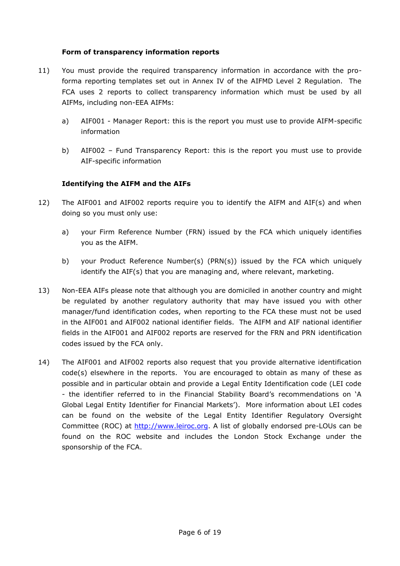## **Form of transparency information reports**

- 11) You must provide the required transparency information in accordance with the proforma reporting templates set out in Annex IV of the AIFMD Level 2 Regulation. The FCA uses 2 reports to collect transparency information which must be used by all AIFMs, including non-EEA AIFMs:
	- a) AIF001 Manager Report: this is the report you must use to provide AIFM-specific information
	- b) AIF002 Fund Transparency Report: this is the report you must use to provide AIF-specific information

# **Identifying the AIFM and the AIFs**

- 12) The AIF001 and AIF002 reports require you to identify the AIFM and AIF(s) and when doing so you must only use:
	- a) your Firm Reference Number (FRN) issued by the FCA which uniquely identifies you as the AIFM.
	- b) your Product Reference Number(s) (PRN(s)) issued by the FCA which uniquely identify the AIF(s) that you are managing and, where relevant, marketing.
- 13) Non-EEA AIFs please note that although you are domiciled in another country and might be regulated by another regulatory authority that may have issued you with other manager/fund identification codes, when reporting to the FCA these must not be used in the AIF001 and AIF002 national identifier fields. The AIFM and AIF national identifier fields in the AIF001 and AIF002 reports are reserved for the FRN and PRN identification codes issued by the FCA only.
- 14) The AIF001 and AIF002 reports also request that you provide alternative identification code(s) elsewhere in the reports. You are encouraged to obtain as many of these as possible and in particular obtain and provide a Legal Entity Identification code (LEI code - the identifier referred to in the Financial Stability Board's recommendations on 'A Global Legal Entity Identifier for Financial Markets'). More information about LEI codes can be found on the website of the Legal Entity Identifier Regulatory Oversight Committee (ROC) at [http://www.leiroc.org.](http://www.leiroc.org/) A list of globally endorsed pre-LOUs can be found on the ROC website and includes the London Stock Exchange under the sponsorship of the FCA.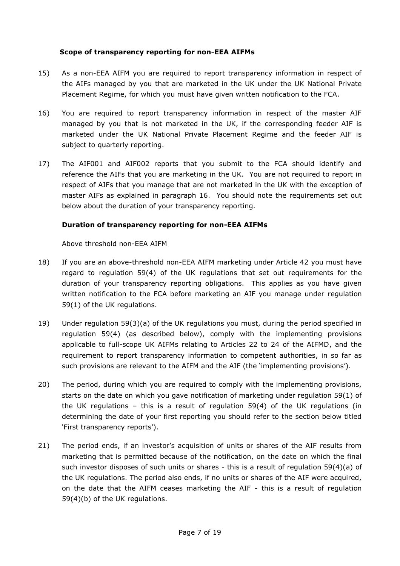## **Scope of transparency reporting for non-EEA AIFMs**

- 15) As a non-EEA AIFM you are required to report transparency information in respect of the AIFs managed by you that are marketed in the UK under the UK National Private Placement Regime, for which you must have given written notification to the FCA.
- 16) You are required to report transparency information in respect of the master AIF managed by you that is not marketed in the UK, if the corresponding feeder AIF is marketed under the UK National Private Placement Regime and the feeder AIF is subject to quarterly reporting.
- 17) The AIF001 and AIF002 reports that you submit to the FCA should identify and reference the AIFs that you are marketing in the UK. You are not required to report in respect of AIFs that you manage that are not marketed in the UK with the exception of master AIFs as explained in paragraph 16. You should note the requirements set out below about the duration of your transparency reporting.

# **Duration of transparency reporting for non-EEA AIFMs**

# Above threshold non-EEA AIFM

- 18) If you are an above-threshold non-EEA AIFM marketing under Article 42 you must have regard to regulation 59(4) of the UK regulations that set out requirements for the duration of your transparency reporting obligations. This applies as you have given written notification to the FCA before marketing an AIF you manage under regulation 59(1) of the UK regulations.
- 19) Under regulation 59(3)(a) of the UK regulations you must, during the period specified in regulation 59(4) (as described below), comply with the implementing provisions applicable to full-scope UK AIFMs relating to Articles 22 to 24 of the AIFMD, and the requirement to report transparency information to competent authorities, in so far as such provisions are relevant to the AIFM and the AIF (the 'implementing provisions').
- 20) The period, during which you are required to comply with the implementing provisions, starts on the date on which you gave notification of marketing under regulation 59(1) of the UK regulations – this is a result of regulation 59(4) of the UK regulations (in determining the date of your first reporting you should refer to the section below titled 'First transparency reports').
- 21) The period ends, if an investor's acquisition of units or shares of the AIF results from marketing that is permitted because of the notification, on the date on which the final such investor disposes of such units or shares - this is a result of regulation 59(4)(a) of the UK regulations. The period also ends, if no units or shares of the AIF were acquired, on the date that the AIFM ceases marketing the AIF - this is a result of regulation 59(4)(b) of the UK regulations.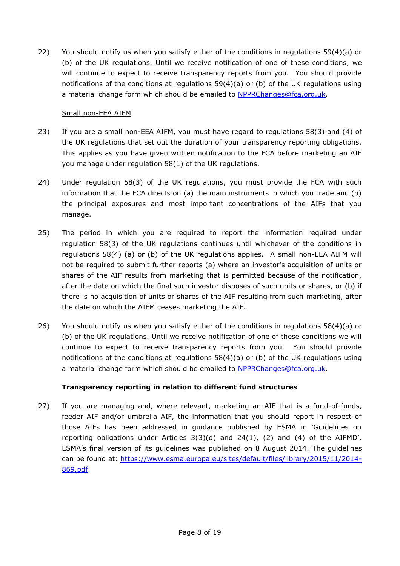22) You should notify us when you satisfy either of the conditions in regulations 59(4)(a) or (b) of the UK regulations. Until we receive notification of one of these conditions, we will continue to expect to receive transparency reports from you. You should provide notifications of the conditions at regulations 59(4)(a) or (b) of the UK regulations using a material change form which should be emailed to [NPPRChanges@fca.org.uk.](mailto:NPPRChanges@fca.org.uk)

# Small non-EEA AIFM

- 23) If you are a small non-EEA AIFM, you must have regard to regulations 58(3) and (4) of the UK regulations that set out the duration of your transparency reporting obligations. This applies as you have given written notification to the FCA before marketing an AIF you manage under regulation 58(1) of the UK regulations.
- 24) Under regulation 58(3) of the UK regulations, you must provide the FCA with such information that the FCA directs on (a) the main instruments in which you trade and (b) the principal exposures and most important concentrations of the AIFs that you manage.
- 25) The period in which you are required to report the information required under regulation 58(3) of the UK regulations continues until whichever of the conditions in regulations 58(4) (a) or (b) of the UK regulations applies. A small non-EEA AIFM will not be required to submit further reports (a) where an investor's acquisition of units or shares of the AIF results from marketing that is permitted because of the notification, after the date on which the final such investor disposes of such units or shares, or (b) if there is no acquisition of units or shares of the AIF resulting from such marketing, after the date on which the AIFM ceases marketing the AIF.
- 26) You should notify us when you satisfy either of the conditions in regulations 58(4)(a) or (b) of the UK regulations. Until we receive notification of one of these conditions we will continue to expect to receive transparency reports from you. You should provide notifications of the conditions at regulations 58(4)(a) or (b) of the UK regulations using a material change form which should be emailed to [NPPRChanges@fca.org.uk.](mailto:NPPRChanges@fca.org.uk)

# **Transparency reporting in relation to different fund structures**

27) If you are managing and, where relevant, marketing an AIF that is a fund-of-funds, feeder AIF and/or umbrella AIF, the information that you should report in respect of those AIFs has been addressed in guidance published by ESMA in 'Guidelines on reporting obligations under Articles 3(3)(d) and 24(1), (2) and (4) of the AIFMD'. ESMA's final version of its guidelines was published on 8 August 2014. The guidelines can be found at: [https://www.esma.europa.eu/sites/default/files/library/2015/11/2014-](https://www.esma.europa.eu/sites/default/files/library/2015/11/2014-869.pdf) [869.pdf](https://www.esma.europa.eu/sites/default/files/library/2015/11/2014-869.pdf)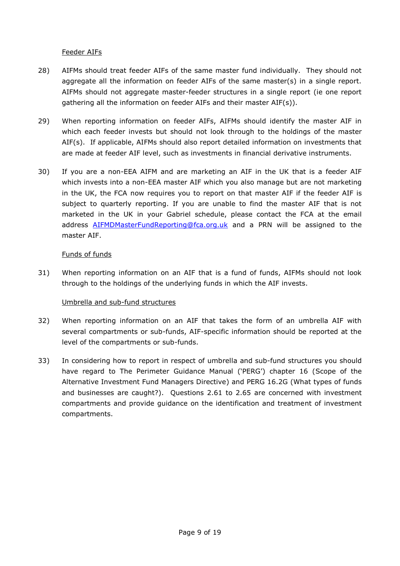### Feeder AIFs

- 28) AIFMs should treat feeder AIFs of the same master fund individually. They should not aggregate all the information on feeder AIFs of the same master(s) in a single report. AIFMs should not aggregate master-feeder structures in a single report (ie one report gathering all the information on feeder AIFs and their master AIF(s)).
- 29) When reporting information on feeder AIFs, AIFMs should identify the master AIF in which each feeder invests but should not look through to the holdings of the master AIF(s). If applicable, AIFMs should also report detailed information on investments that are made at feeder AIF level, such as investments in financial derivative instruments.
- 30) If you are a non-EEA AIFM and are marketing an AIF in the UK that is a feeder AIF which invests into a non-EEA master AIF which you also manage but are not marketing in the UK, the FCA now requires you to report on that master AIF if the feeder AIF is subject to quarterly reporting. If you are unable to find the master AIF that is not marketed in the UK in your Gabriel schedule, please contact the FCA at the email address [AIFMDMasterFundReporting@fca.org.uk](mailto:AIFMDMasterFundReporting@fca.org.uk) and a PRN will be assigned to the master AIF.

#### Funds of funds

31) When reporting information on an AIF that is a fund of funds, AIFMs should not look through to the holdings of the underlying funds in which the AIF invests.

### Umbrella and sub-fund structures

- 32) When reporting information on an AIF that takes the form of an umbrella AIF with several compartments or sub-funds, AIF-specific information should be reported at the level of the compartments or sub-funds.
- 33) In considering how to report in respect of umbrella and sub-fund structures you should have regard to The Perimeter Guidance Manual ('PERG') chapter 16 (Scope of the Alternative Investment Fund Managers Directive) and PERG 16.2G (What types of funds and businesses are caught?). Questions 2.61 to 2.65 are concerned with investment compartments and provide guidance on the identification and treatment of investment compartments.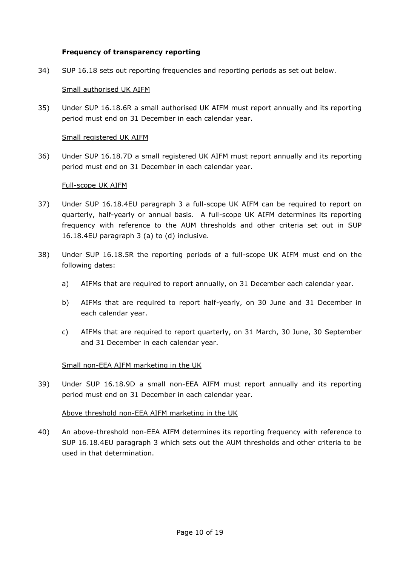#### **Frequency of transparency reporting**

34) SUP 16.18 sets out reporting frequencies and reporting periods as set out below.

#### Small authorised UK AIFM

35) Under SUP 16.18.6R a small authorised UK AIFM must report annually and its reporting period must end on 31 December in each calendar year.

#### Small registered UK AIFM

36) Under SUP 16.18.7D a small registered UK AIFM must report annually and its reporting period must end on 31 December in each calendar year.

#### Full-scope UK AIFM

- 37) Under SUP 16.18.4EU paragraph 3 a full-scope UK AIFM can be required to report on quarterly, half-yearly or annual basis. A full-scope UK AIFM determines its reporting frequency with reference to the AUM thresholds and other criteria set out in SUP 16.18.4EU paragraph 3 (a) to (d) inclusive.
- 38) Under SUP 16.18.5R the reporting periods of a full-scope UK AIFM must end on the following dates:
	- a) [AIFMs](http://fshandbook.info/FS/glossary-html/handbook/Glossary/A?definition=G3092) that are required to report annually, on 31 December each calendar year.
	- b) [AIFMs](http://fshandbook.info/FS/glossary-html/handbook/Glossary/A?definition=G3092) that are required to report half-yearly, on 30 June and 31 December in each calendar year.
	- c) [AIFMs](http://fshandbook.info/FS/glossary-html/handbook/Glossary/A?definition=G3092) that are required to report quarterly, on 31 March, 30 June, 30 September and 31 December in each calendar year.

### Small non-EEA AIFM marketing in the UK

39) Under SUP 16.18.9D a small non-EEA AIFM must report annually and its reporting period must end on 31 December in each calendar year.

#### Above threshold non-EEA AIFM marketing in the UK

40) An above-threshold non-EEA AIFM determines its reporting frequency with reference to SUP 16.18.4EU paragraph 3 which sets out the AUM thresholds and other criteria to be used in that determination.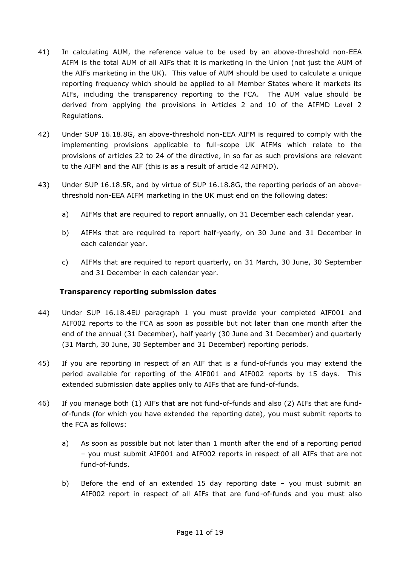- 41) In calculating AUM, the reference value to be used by an above-threshold non-EEA AIFM is the total AUM of all AIFs that it is marketing in the Union (not just the AUM of the AIFs marketing in the UK). This value of AUM should be used to calculate a unique reporting frequency which should be applied to all Member States where it markets its AIFs, including the transparency reporting to the FCA. The AUM value should be derived from applying the provisions in Articles 2 and 10 of the AIFMD Level 2 Regulations.
- 42) Under SUP 16.18.8G, an above-threshold non-EEA AIFM is required to comply with the implementing provisions applicable to full-scope UK AIFMs which relate to the provisions of articles 22 to 24 of the directive, in so far as such provisions are relevant to the AIFM and the AIF (this is as a result of article 42 AIFMD).
- 43) Under SUP 16.18.5R, and by virtue of SUP 16.18.8G, the reporting periods of an abovethreshold non-EEA AIFM marketing in the UK must end on the following dates:
	- a) [AIFMs](http://fshandbook.info/FS/glossary-html/handbook/Glossary/A?definition=G3092) that are required to report annually, on 31 December each calendar year.
	- b) [AIFMs](http://fshandbook.info/FS/glossary-html/handbook/Glossary/A?definition=G3092) that are required to report half-yearly, on 30 June and 31 December in each calendar year.
	- c) [AIFMs](http://fshandbook.info/FS/glossary-html/handbook/Glossary/A?definition=G3092) that are required to report quarterly, on 31 March, 30 June, 30 September and 31 December in each calendar year.

# **Transparency reporting submission dates**

- 44) Under SUP 16.18.4EU paragraph 1 you must provide your completed AIF001 and AIF002 reports to the FCA as soon as possible but not later than one month after the end of the annual (31 December), half yearly (30 June and 31 December) and quarterly (31 March, 30 June, 30 September and 31 December) reporting periods.
- 45) If you are reporting in respect of an AIF that is a fund-of-funds you may extend the period available for reporting of the AIF001 and AIF002 reports by 15 days. This extended submission date applies only to AIFs that are fund-of-funds.
- 46) If you manage both (1) AIFs that are not fund-of-funds and also (2) AIFs that are fundof-funds (for which you have extended the reporting date), you must submit reports to the FCA as follows:
	- a) As soon as possible but not later than 1 month after the end of a reporting period – you must submit AIF001 and AIF002 reports in respect of all AIFs that are not fund-of-funds.
	- b) Before the end of an extended 15 day reporting date you must submit an AIF002 report in respect of all AIFs that are fund-of-funds and you must also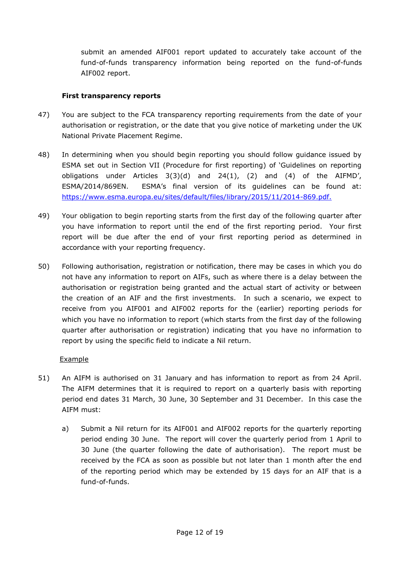submit an amended AIF001 report updated to accurately take account of the fund-of-funds transparency information being reported on the fund-of-funds AIF002 report.

## **First transparency reports**

- 47) You are subject to the FCA transparency reporting requirements from the date of your authorisation or registration, or the date that you give notice of marketing under the UK National Private Placement Regime.
- 48) In determining when you should begin reporting you should follow guidance issued by ESMA set out in Section VII (Procedure for first reporting) of 'Guidelines on reporting obligations under Articles  $3(3)(d)$  and  $24(1)$ ,  $(2)$  and  $(4)$  of the AIFMD', ESMA/2014/869EN. ESMA's final version of its guidelines can be found at: [https://www.esma.europa.eu/sites/default/files/library/2015/11/2014-869.pdf.](https://www.esma.europa.eu/sites/default/files/library/2015/11/2014-869.pdf)
- 49) Your obligation to begin reporting starts from the first day of the following quarter after you have information to report until the end of the first reporting period. Your first report will be due after the end of your first reporting period as determined in accordance with your reporting frequency.
- 50) Following authorisation, registration or notification, there may be cases in which you do not have any information to report on AIFs, such as where there is a delay between the authorisation or registration being granted and the actual start of activity or between the creation of an AIF and the first investments. In such a scenario, we expect to receive from you AIF001 and AIF002 reports for the (earlier) reporting periods for which you have no information to report (which starts from the first day of the following quarter after authorisation or registration) indicating that you have no information to report by using the specific field to indicate a Nil return.

### Example

- 51) An AIFM is authorised on 31 January and has information to report as from 24 April. The AIFM determines that it is required to report on a quarterly basis with reporting period end dates 31 March, 30 June, 30 September and 31 December. In this case the AIFM must:
	- a) Submit a Nil return for its AIF001 and AIF002 reports for the quarterly reporting period ending 30 June. The report will cover the quarterly period from 1 April to 30 June (the quarter following the date of authorisation). The report must be received by the FCA as soon as possible but not later than 1 month after the end of the reporting period which may be extended by 15 days for an AIF that is a fund-of-funds.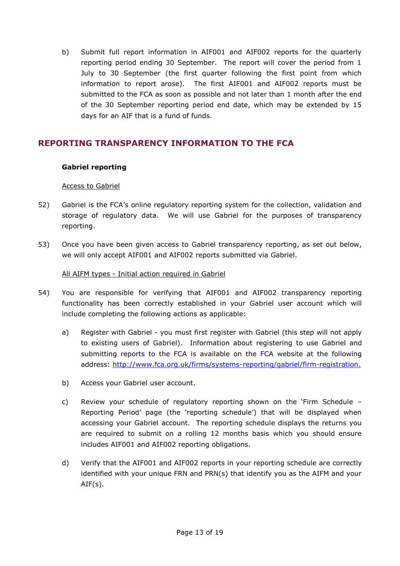b) Submit full report information in AIF001 and AIF002 reports for the quarterly reporting period ending 30 September. The report will cover the period from 1 July to 30 September (the first quarter following the first point from which information to report arose). The first AIF001 and AIF002 reports must be submitted to the FCA as soon as possible and not later than 1 month after the end of the 30 September reporting period end date, which may be extended by 15 days for an AIF that is a fund of funds.

# **REPORTING TRANSPARENCY INFORMATION TO THE FCA**

### **Gabriel reporting**

# Access to Gabriel

- 52) Gabriel is the FCA's online regulatory reporting system for the collection, validation and storage of regulatory data. We will use Gabriel for the purposes of transparency reporting.
- 53) Once you have been given access to Gabriel transparency reporting, as set out below, we will only accept AIF001 and AIF002 reports submitted via Gabriel.

# All AIFM types - Initial action required in Gabriel

- 54) You are responsible for verifying that AIF001 and AIF002 transparency reporting functionality has been correctly established in your Gabriel user account which will include completing the following actions as applicable:
	- a) Register with Gabriel you must first register with Gabriel (this step will not apply to existing users of Gabriel). Information about registering to use Gabriel and submitting reports to the FCA is available on the FCA website at the following address: [http://www.fca.org.uk/firms/systems-reporting/gabriel/firm-registration.](http://www.fca.org.uk/firms/systems-reporting/gabriel/firm-registration)
	- b) Access your Gabriel user account.
	- c) Review your schedule of regulatory reporting shown on the 'Firm Schedule Reporting Period' page (the 'reporting schedule') that will be displayed when accessing your Gabriel account. The reporting schedule displays the returns you are required to submit on a rolling 12 months basis which you should ensure includes AIF001 and AIF002 reporting obligations.
	- d) Verify that the AIF001 and AIF002 reports in your reporting schedule are correctly identified with your unique FRN and PRN(s) that identify you as the AIFM and your  $AIF(s)$ .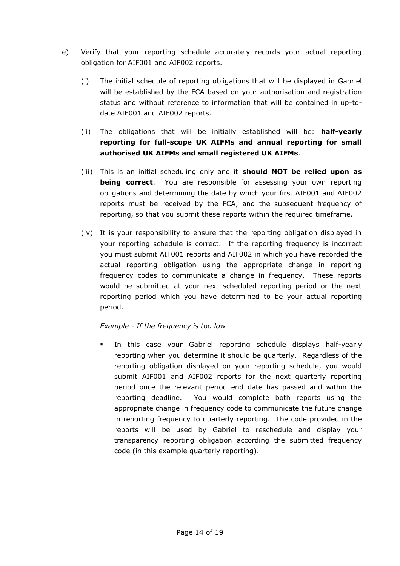- e) Verify that your reporting schedule accurately records your actual reporting obligation for AIF001 and AIF002 reports.
	- (i) The initial schedule of reporting obligations that will be displayed in Gabriel will be established by the FCA based on your authorisation and registration status and without reference to information that will be contained in up-todate AIF001 and AIF002 reports.
	- (ii) The obligations that will be initially established will be: **half-yearly reporting for full-scope UK AIFMs and annual reporting for small authorised UK AIFMs and small registered UK AIFMs**.
	- (iii) This is an initial scheduling only and it **should NOT be relied upon as being correct**. You are responsible for assessing your own reporting obligations and determining the date by which your first AIF001 and AIF002 reports must be received by the FCA, and the subsequent frequency of reporting, so that you submit these reports within the required timeframe.
	- (iv) It is your responsibility to ensure that the reporting obligation displayed in your reporting schedule is correct. If the reporting frequency is incorrect you must submit AIF001 reports and AIF002 in which you have recorded the actual reporting obligation using the appropriate change in reporting frequency codes to communicate a change in frequency. These reports would be submitted at your next scheduled reporting period or the next reporting period which you have determined to be your actual reporting period.

# *Example - If the frequency is too low*

 In this case your Gabriel reporting schedule displays half-yearly reporting when you determine it should be quarterly. Regardless of the reporting obligation displayed on your reporting schedule, you would submit AIF001 and AIF002 reports for the next quarterly reporting period once the relevant period end date has passed and within the reporting deadline. You would complete both reports using the appropriate change in frequency code to communicate the future change in reporting frequency to quarterly reporting. The code provided in the reports will be used by Gabriel to reschedule and display your transparency reporting obligation according the submitted frequency code (in this example quarterly reporting).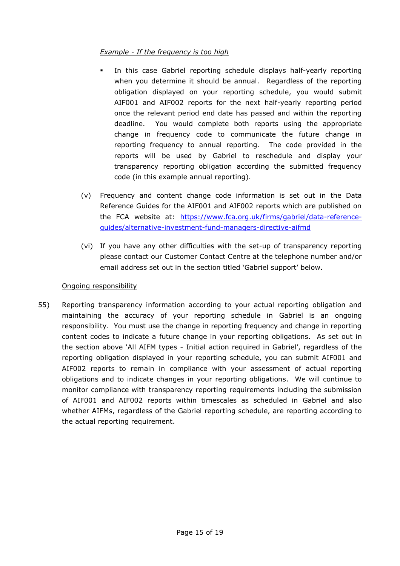# *Example - If the frequency is too high*

- In this case Gabriel reporting schedule displays half-yearly reporting when you determine it should be annual. Regardless of the reporting obligation displayed on your reporting schedule, you would submit AIF001 and AIF002 reports for the next half-yearly reporting period once the relevant period end date has passed and within the reporting deadline. You would complete both reports using the appropriate change in frequency code to communicate the future change in reporting frequency to annual reporting. The code provided in the reports will be used by Gabriel to reschedule and display your transparency reporting obligation according the submitted frequency code (in this example annual reporting).
- (v) Frequency and content change code information is set out in the Data Reference Guides for the AIF001 and AIF002 reports which are published on the FCA website at: [https://www.fca.org.uk/firms/gabriel/data-reference](https://www.fca.org.uk/firms/gabriel/data-reference-guides/alternative-investment-fund-managers-directive-aifmd)[guides/alternative-investment-fund-managers-directive-aifmd](https://www.fca.org.uk/firms/gabriel/data-reference-guides/alternative-investment-fund-managers-directive-aifmd)
- (vi) If you have any other difficulties with the set-up of transparency reporting please contact our Customer Contact Centre at the telephone number and/or email address set out in the section titled 'Gabriel support' below.

### Ongoing responsibility

55) Reporting transparency information according to your actual reporting obligation and maintaining the accuracy of your reporting schedule in Gabriel is an ongoing responsibility. You must use the change in reporting frequency and change in reporting content codes to indicate a future change in your reporting obligations. As set out in the section above 'All AIFM types - Initial action required in Gabriel', regardless of the reporting obligation displayed in your reporting schedule, you can submit AIF001 and AIF002 reports to remain in compliance with your assessment of actual reporting obligations and to indicate changes in your reporting obligations. We will continue to monitor compliance with transparency reporting requirements including the submission of AIF001 and AIF002 reports within timescales as scheduled in Gabriel and also whether AIFMs, regardless of the Gabriel reporting schedule, are reporting according to the actual reporting requirement.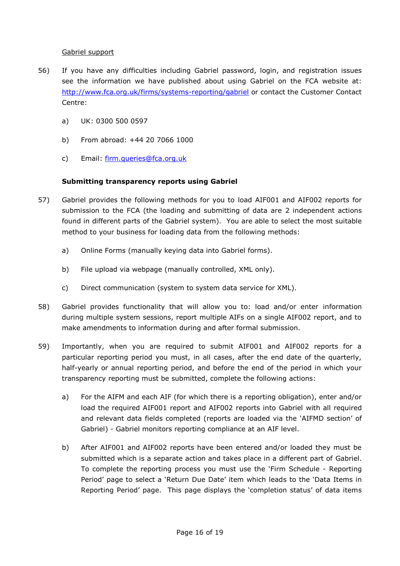## Gabriel support

- 56) If you have any difficulties including Gabriel password, login, and registration issues see the information we have published about using Gabriel on the FCA website at: <http://www.fca.org.uk/firms/systems-reporting/gabriel> or contact the Customer Contact Centre:
	- a) UK: 0300 500 0597
	- b) From abroad: +44 20 7066 1000
	- c) Email: [firm.queries@fca.org.uk](mailto:firm.queries@fca.org.uk)

# **Submitting transparency reports using Gabriel**

- 57) Gabriel provides the following methods for you to load AIF001 and AIF002 reports for submission to the FCA (the loading and submitting of data are 2 independent actions found in different parts of the Gabriel system). You are able to select the most suitable method to your business for loading data from the following methods:
	- a) Online Forms (manually keying data into Gabriel forms).
	- b) File upload via webpage (manually controlled, XML only).
	- c) Direct communication (system to system data service for XML).
- 58) Gabriel provides functionality that will allow you to: load and/or enter information during multiple system sessions, report multiple AIFs on a single AIF002 report, and to make amendments to information during and after formal submission.
- 59) Importantly, when you are required to submit AIF001 and AIF002 reports for a particular reporting period you must, in all cases, after the end date of the quarterly, half-yearly or annual reporting period, and before the end of the period in which your transparency reporting must be submitted, complete the following actions:
	- a) For the AIFM and each AIF (for which there is a reporting obligation), enter and/or load the required AIF001 report and AIF002 reports into Gabriel with all required and relevant data fields completed (reports are loaded via the 'AIFMD section' of Gabriel) - Gabriel monitors reporting compliance at an AIF level.
	- b) After AIF001 and AIF002 reports have been entered and/or loaded they must be submitted which is a separate action and takes place in a different part of Gabriel. To complete the reporting process you must use the 'Firm Schedule - Reporting Period' page to select a 'Return Due Date' item which leads to the 'Data Items in Reporting Period' page. This page displays the 'completion status' of data items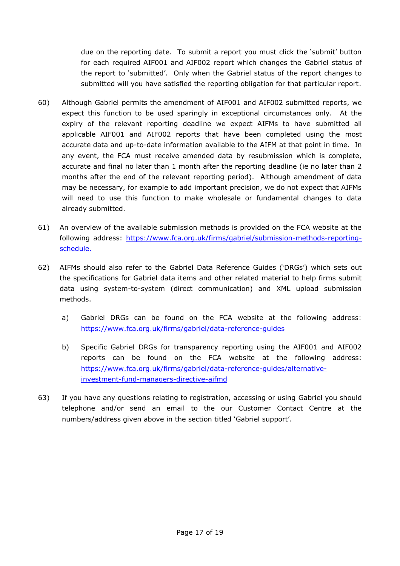due on the reporting date. To submit a report you must click the 'submit' button for each required AIF001 and AIF002 report which changes the Gabriel status of the report to 'submitted'. Only when the Gabriel status of the report changes to submitted will you have satisfied the reporting obligation for that particular report.

- 60) Although Gabriel permits the amendment of AIF001 and AIF002 submitted reports, we expect this function to be used sparingly in exceptional circumstances only. At the expiry of the relevant reporting deadline we expect AIFMs to have submitted all applicable AIF001 and AIF002 reports that have been completed using the most accurate data and up-to-date information available to the AIFM at that point in time. In any event, the FCA must receive amended data by resubmission which is complete, accurate and final no later than 1 month after the reporting deadline (ie no later than 2 months after the end of the relevant reporting period). Although amendment of data may be necessary, for example to add important precision, we do not expect that AIFMs will need to use this function to make wholesale or fundamental changes to data already submitted.
- 61) An overview of the available submission methods is provided on the FCA website at the following address: [https://www.fca.org.uk/firms/gabriel/submission-methods-reporting](https://www.fca.org.uk/firms/gabriel/submission-methods-reporting-schedule)[schedule.](https://www.fca.org.uk/firms/gabriel/submission-methods-reporting-schedule)
- 62) AIFMs should also refer to the Gabriel Data Reference Guides ('DRGs') which sets out the specifications for Gabriel data items and other related material to help firms submit data using system-to-system (direct communication) and XML upload submission methods.
	- a) Gabriel DRGs can be found on the FCA website at the following address: <https://www.fca.org.uk/firms/gabriel/data-reference-guides>
	- b) Specific Gabriel DRGs for transparency reporting using the AIF001 and AIF002 reports can be found on the FCA website at the following address: [https://www.fca.org.uk/firms/gabriel/data-reference-guides/alternative](https://www.fca.org.uk/firms/gabriel/data-reference-guides/alternative-investment-fund-managers-directive-aifmd)[investment-fund-managers-directive-aifmd](https://www.fca.org.uk/firms/gabriel/data-reference-guides/alternative-investment-fund-managers-directive-aifmd)
- 63) If you have any questions relating to registration, accessing or using Gabriel you should telephone and/or send an email to the our Customer Contact Centre at the numbers/address given above in the section titled 'Gabriel support'.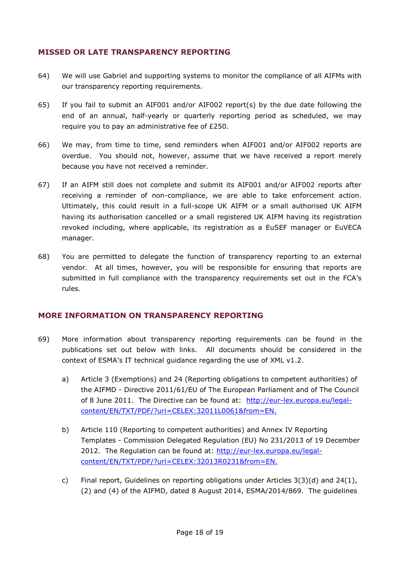# **MISSED OR LATE TRANSPARENCY REPORTING**

- 64) We will use Gabriel and supporting systems to monitor the compliance of all AIFMs with our transparency reporting requirements.
- 65) If you fail to submit an AIF001 and/or AIF002 report(s) by the due date following the end of an annual, half-yearly or quarterly reporting period as scheduled, we may require you to pay an administrative fee of £250.
- 66) We may, from time to time, send reminders when AIF001 and/or AIF002 reports are overdue. You should not, however, assume that we have received a report merely because you have not received a reminder.
- 67) If an AIFM still does not complete and submit its AIF001 and/or AIF002 reports after receiving a reminder of non-compliance, we are able to take enforcement action. Ultimately, this could result in a full-scope UK AIFM or a small authorised UK AIFM having its authorisation cancelled or a small registered UK AIFM having its registration revoked including, where applicable, its registration as a EuSEF manager or EuVECA manager.
- 68) You are permitted to delegate the function of transparency reporting to an external vendor. At all times, however, you will be responsible for ensuring that reports are submitted in full compliance with the transparency requirements set out in the FCA's rules.

### **MORE INFORMATION ON TRANSPARENCY REPORTING**

- 69) More information about transparency reporting requirements can be found in the publications set out below with links. All documents should be considered in the context of ESMA's IT technical guidance regarding the use of XML v1.2.
	- a) Article 3 (Exemptions) and 24 (Reporting obligations to competent authorities) of the AIFMD - Directive 2011/61/EU of The European Parliament and of The Council of 8 June 2011. The Directive can be found at: [http://eur-lex.europa.eu/legal](http://eur-lex.europa.eu/legal-content/EN/TXT/PDF/?uri=CELEX:32011L0061&from=EN)[content/EN/TXT/PDF/?uri=CELEX:32011L0061&from=EN.](http://eur-lex.europa.eu/legal-content/EN/TXT/PDF/?uri=CELEX:32011L0061&from=EN)
	- b) Article 110 (Reporting to competent authorities) and Annex IV Reporting Templates - Commission Delegated Regulation (EU) No 231/2013 of 19 December 2012. The Regulation can be found at: [http://eur-lex.europa.eu/legal](http://eur-lex.europa.eu/legal-content/EN/TXT/PDF/?uri=CELEX:32013R0231&from=EN)[content/EN/TXT/PDF/?uri=CELEX:32013R0231&from=EN.](http://eur-lex.europa.eu/legal-content/EN/TXT/PDF/?uri=CELEX:32013R0231&from=EN)
	- c) Final report, Guidelines on reporting obligations under Articles 3(3)(d) and 24(1), (2) and (4) of the AIFMD, dated 8 August 2014, ESMA/2014/869. The guidelines